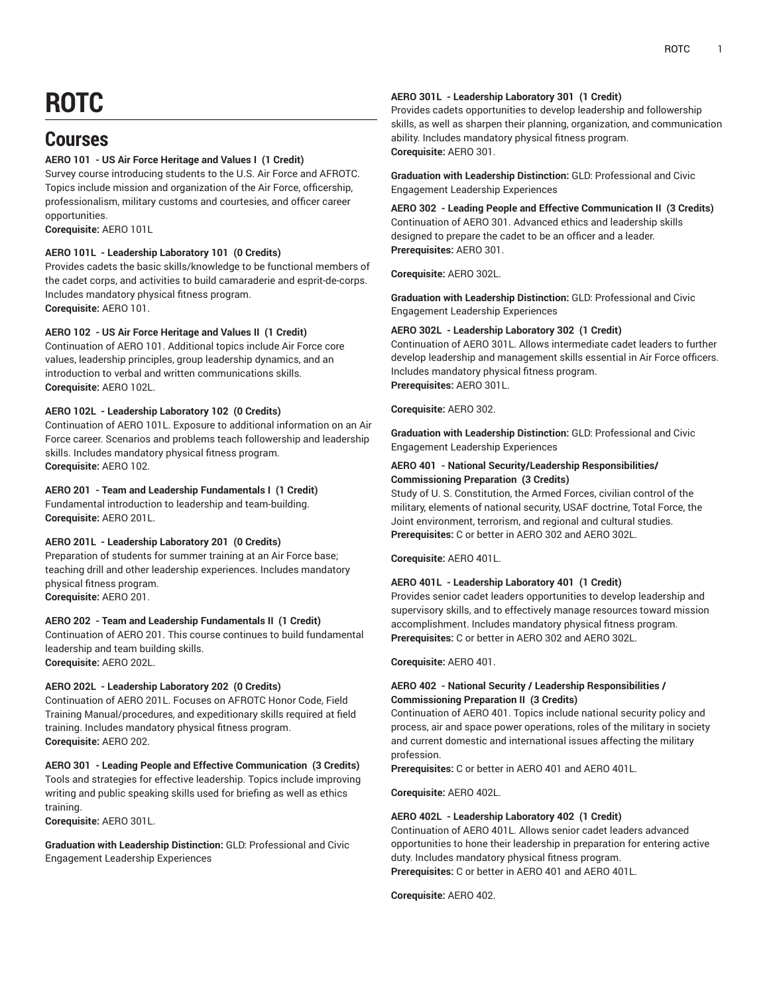# **ROTC**

# **Courses**

### **AERO 101 - US Air Force Heritage and Values I (1 Credit)**

Survey course introducing students to the U.S. Air Force and AFROTC. Topics include mission and organization of the Air Force, officership, professionalism, military customs and courtesies, and officer career opportunities.

**Corequisite:** AERO 101L

### **AERO 101L - Leadership Laboratory 101 (0 Credits)**

Provides cadets the basic skills/knowledge to be functional members of the cadet corps, and activities to build camaraderie and esprit-de-corps. Includes mandatory physical fitness program. **Corequisite:** AERO 101.

### **AERO 102 - US Air Force Heritage and Values II (1 Credit)**

Continuation of AERO 101. Additional topics include Air Force core values, leadership principles, group leadership dynamics, and an introduction to verbal and written communications skills. **Corequisite:** AERO 102L.

### **AERO 102L - Leadership Laboratory 102 (0 Credits)**

Continuation of AERO 101L. Exposure to additional information on an Air Force career. Scenarios and problems teach followership and leadership skills. Includes mandatory physical fitness program. **Corequisite:** AERO 102.

### **AERO 201 - Team and Leadership Fundamentals I (1 Credit)**

Fundamental introduction to leadership and team-building. **Corequisite:** AERO 201L.

### **AERO 201L - Leadership Laboratory 201 (0 Credits)**

Preparation of students for summer training at an Air Force base; teaching drill and other leadership experiences. Includes mandatory physical fitness program. **Corequisite:** AERO 201.

### **AERO 202 - Team and Leadership Fundamentals II (1 Credit)**

Continuation of AERO 201. This course continues to build fundamental leadership and team building skills. **Corequisite:** AERO 202L.

### **AERO 202L - Leadership Laboratory 202 (0 Credits)**

Continuation of AERO 201L. Focuses on AFROTC Honor Code, Field Training Manual/procedures, and expeditionary skills required at field training. Includes mandatory physical fitness program. **Corequisite:** AERO 202.

**AERO 301 - Leading People and Effective Communication (3 Credits)** Tools and strategies for effective leadership. Topics include improving writing and public speaking skills used for briefing as well as ethics training.

**Corequisite:** AERO 301L.

**Graduation with Leadership Distinction:** GLD: Professional and Civic Engagement Leadership Experiences

### **AERO 301L - Leadership Laboratory 301 (1 Credit)**

Provides cadets opportunities to develop leadership and followership skills, as well as sharpen their planning, organization, and communication ability. Includes mandatory physical fitness program. **Corequisite:** AERO 301.

**Graduation with Leadership Distinction:** GLD: Professional and Civic Engagement Leadership Experiences

**AERO 302 - Leading People and Effective Communication II (3 Credits)** Continuation of AERO 301. Advanced ethics and leadership skills designed to prepare the cadet to be an officer and a leader. **Prerequisites:** AERO 301.

**Corequisite:** AERO 302L.

**Graduation with Leadership Distinction:** GLD: Professional and Civic Engagement Leadership Experiences

### **AERO 302L - Leadership Laboratory 302 (1 Credit)**

Continuation of AERO 301L. Allows intermediate cadet leaders to further develop leadership and management skills essential in Air Force officers. Includes mandatory physical fitness program. **Prerequisites:** AERO 301L.

**Corequisite:** AERO 302.

**Graduation with Leadership Distinction:** GLD: Professional and Civic Engagement Leadership Experiences

### **AERO 401 - National Security/Leadership Responsibilities/ Commissioning Preparation (3 Credits)**

Study of U. S. Constitution, the Armed Forces, civilian control of the military, elements of national security, USAF doctrine, Total Force, the Joint environment, terrorism, and regional and cultural studies. **Prerequisites:** C or better in AERO 302 and AERO 302L.

**Corequisite:** AERO 401L.

### **AERO 401L - Leadership Laboratory 401 (1 Credit)**

Provides senior cadet leaders opportunities to develop leadership and supervisory skills, and to effectively manage resources toward mission accomplishment. Includes mandatory physical fitness program. **Prerequisites:** C or better in AERO 302 and AERO 302L.

**Corequisite:** AERO 401.

### **AERO 402 - National Security / Leadership Responsibilities / Commissioning Preparation II (3 Credits)**

Continuation of AERO 401. Topics include national security policy and process, air and space power operations, roles of the military in society and current domestic and international issues affecting the military profession.

**Prerequisites:** C or better in AERO 401 and AERO 401L.

**Corequisite:** AERO 402L.

### **AERO 402L - Leadership Laboratory 402 (1 Credit)**

Continuation of AERO 401L. Allows senior cadet leaders advanced opportunities to hone their leadership in preparation for entering active duty. Includes mandatory physical fitness program. **Prerequisites:** C or better in AERO 401 and AERO 401L.

**Corequisite:** AERO 402.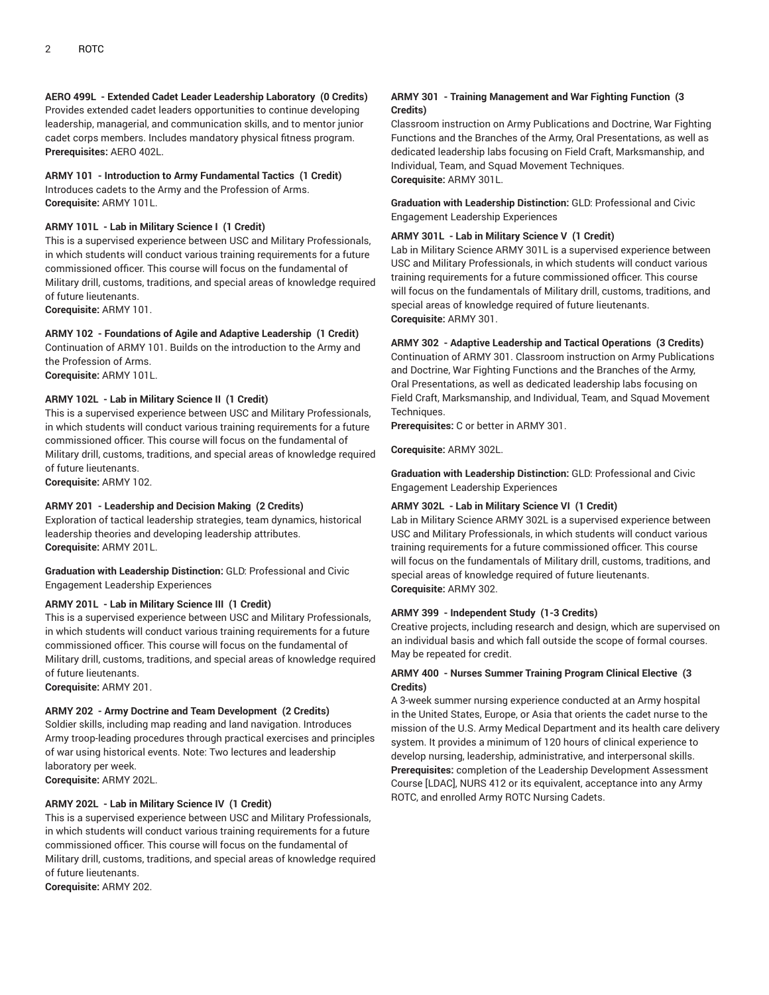## **AERO 499L - Extended Cadet Leader Leadership Laboratory (0 Credits)**

Provides extended cadet leaders opportunities to continue developing leadership, managerial, and communication skills, and to mentor junior cadet corps members. Includes mandatory physical fitness program. **Prerequisites:** AERO 402L.

### **ARMY 101 - Introduction to Army Fundamental Tactics (1 Credit)**

Introduces cadets to the Army and the Profession of Arms. **Corequisite:** ARMY 101L.

### **ARMY 101L - Lab in Military Science I (1 Credit)**

This is a supervised experience between USC and Military Professionals, in which students will conduct various training requirements for a future commissioned officer. This course will focus on the fundamental of Military drill, customs, traditions, and special areas of knowledge required of future lieutenants.

**Corequisite:** ARMY 101.

### **ARMY 102 - Foundations of Agile and Adaptive Leadership (1 Credit)**

Continuation of ARMY 101. Builds on the introduction to the Army and the Profession of Arms.

**Corequisite:** ARMY 101L.

### **ARMY 102L - Lab in Military Science II (1 Credit)**

This is a supervised experience between USC and Military Professionals, in which students will conduct various training requirements for a future commissioned officer. This course will focus on the fundamental of Military drill, customs, traditions, and special areas of knowledge required of future lieutenants.

**Corequisite:** ARMY 102.

### **ARMY 201 - Leadership and Decision Making (2 Credits)**

Exploration of tactical leadership strategies, team dynamics, historical leadership theories and developing leadership attributes. **Corequisite:** ARMY 201L.

**Graduation with Leadership Distinction:** GLD: Professional and Civic Engagement Leadership Experiences

### **ARMY 201L - Lab in Military Science III (1 Credit)**

This is a supervised experience between USC and Military Professionals, in which students will conduct various training requirements for a future commissioned officer. This course will focus on the fundamental of Military drill, customs, traditions, and special areas of knowledge required of future lieutenants.

**Corequisite:** ARMY 201.

### **ARMY 202 - Army Doctrine and Team Development (2 Credits)**

Soldier skills, including map reading and land navigation. Introduces Army troop-leading procedures through practical exercises and principles of war using historical events. Note: Two lectures and leadership laboratory per week.

**Corequisite:** ARMY 202L.

### **ARMY 202L - Lab in Military Science IV (1 Credit)**

This is a supervised experience between USC and Military Professionals, in which students will conduct various training requirements for a future commissioned officer. This course will focus on the fundamental of Military drill, customs, traditions, and special areas of knowledge required of future lieutenants.

**Corequisite:** ARMY 202.

### **ARMY 301 - Training Management and War Fighting Function (3 Credits)**

Classroom instruction on Army Publications and Doctrine, War Fighting Functions and the Branches of the Army, Oral Presentations, as well as dedicated leadership labs focusing on Field Craft, Marksmanship, and Individual, Team, and Squad Movement Techniques. **Corequisite:** ARMY 301L.

**Graduation with Leadership Distinction:** GLD: Professional and Civic Engagement Leadership Experiences

### **ARMY 301L - Lab in Military Science V (1 Credit)**

Lab in Military Science ARMY 301L is a supervised experience between USC and Military Professionals, in which students will conduct various training requirements for a future commissioned officer. This course will focus on the fundamentals of Military drill, customs, traditions, and special areas of knowledge required of future lieutenants. **Corequisite:** ARMY 301.

### **ARMY 302 - Adaptive Leadership and Tactical Operations (3 Credits)**

Continuation of ARMY 301. Classroom instruction on Army Publications and Doctrine, War Fighting Functions and the Branches of the Army, Oral Presentations, as well as dedicated leadership labs focusing on Field Craft, Marksmanship, and Individual, Team, and Squad Movement Techniques.

**Prerequisites:** C or better in ARMY 301.

**Corequisite:** ARMY 302L.

**Graduation with Leadership Distinction:** GLD: Professional and Civic Engagement Leadership Experiences

### **ARMY 302L - Lab in Military Science VI (1 Credit)**

Lab in Military Science ARMY 302L is a supervised experience between USC and Military Professionals, in which students will conduct various training requirements for a future commissioned officer. This course will focus on the fundamentals of Military drill, customs, traditions, and special areas of knowledge required of future lieutenants. **Corequisite:** ARMY 302.

### **ARMY 399 - Independent Study (1-3 Credits)**

Creative projects, including research and design, which are supervised on an individual basis and which fall outside the scope of formal courses. May be repeated for credit.

### **ARMY 400 - Nurses Summer Training Program Clinical Elective (3 Credits)**

A 3-week summer nursing experience conducted at an Army hospital in the United States, Europe, or Asia that orients the cadet nurse to the mission of the U.S. Army Medical Department and its health care delivery system. It provides a minimum of 120 hours of clinical experience to develop nursing, leadership, administrative, and interpersonal skills. **Prerequisites:** completion of the Leadership Development Assessment Course [LDAC], NURS 412 or its equivalent, acceptance into any Army ROTC, and enrolled Army ROTC Nursing Cadets.